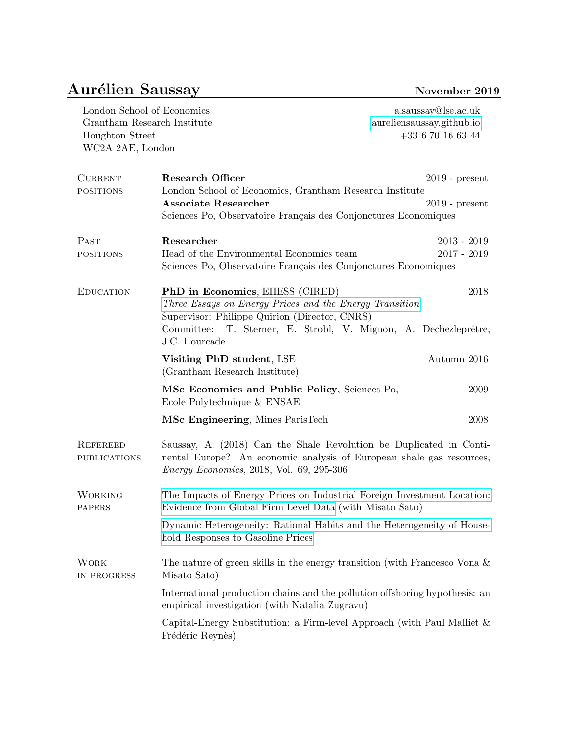## Aurélien Saussay November 2019

| London School of Economics<br>Grantham Research Institute<br>Houghton Street<br>WC2A 2AE, London |                                                                                                                                                                                                                                    | a.saussay@lse.ac.uk<br>aureliensaussay.github.io<br>$+33$ 6 70 16 63 44 |  |
|--------------------------------------------------------------------------------------------------|------------------------------------------------------------------------------------------------------------------------------------------------------------------------------------------------------------------------------------|-------------------------------------------------------------------------|--|
| <b>CURRENT</b><br><b>POSITIONS</b>                                                               | <b>Research Officer</b><br>London School of Economics, Grantham Research Institute<br><b>Associate Researcher</b><br>Sciences Po, Observatoire Français des Conjonctures Economiques                                               | $2019$ - present<br>$2019$ - present                                    |  |
| PAST<br><b>POSITIONS</b>                                                                         | Researcher<br>Head of the Environmental Economics team<br>Sciences Po, Observatoire Français des Conjonctures Economiques                                                                                                          | $2013 - 2019$<br>$2017 - 2019$                                          |  |
| <b>EDUCATION</b>                                                                                 | PhD in Economics, EHESS (CIRED)<br>Three Essays on Energy Prices and the Energy Transition<br>Supervisor: Philippe Quirion (Director, CNRS)<br>T. Sterner, E. Strobl, V. Mignon, A. Dechezleprêtre,<br>Committee:<br>J.C. Hourcade | 2018                                                                    |  |
|                                                                                                  | Visiting PhD student, LSE<br>(Grantham Research Institute)                                                                                                                                                                         | Autumn 2016                                                             |  |
|                                                                                                  | MSc Economics and Public Policy, Sciences Po,<br>Ecole Polytechnique & ENSAE                                                                                                                                                       | 2009                                                                    |  |
|                                                                                                  | MSc Engineering, Mines ParisTech                                                                                                                                                                                                   | 2008                                                                    |  |
| <b>REFEREED</b><br><b>PUBLICATIONS</b>                                                           | Saussay, A. (2018) Can the Shale Revolution be Duplicated in Conti-<br>nental Europe? An economic analysis of European shale gas resources,<br><i>Energy Economics</i> , 2018, Vol. 69, 295-306                                    |                                                                         |  |
| WORKING<br><b>PAPERS</b>                                                                         | The Impacts of Energy Prices on Industrial Foreign Investment Location:<br>Evidence from Global Firm Level Data (with Misato Sato)                                                                                                 |                                                                         |  |
|                                                                                                  | Dynamic Heterogeneity: Rational Habits and the Heterogeneity of House-<br>hold Responses to Gasoline Prices                                                                                                                        |                                                                         |  |
| <b>WORK</b><br>IN PROGRESS                                                                       | The nature of green skills in the energy transition (with Francesco Vona $\&$<br>Misato Sato)                                                                                                                                      |                                                                         |  |
|                                                                                                  | International production chains and the pollution offshoring hypothesis: an<br>empirical investigation (with Natalia Zugravu)                                                                                                      |                                                                         |  |
|                                                                                                  | Capital-Energy Substitution: a Firm-level Approach (with Paul Malliet $\&$<br>Frédéric Reynès)                                                                                                                                     |                                                                         |  |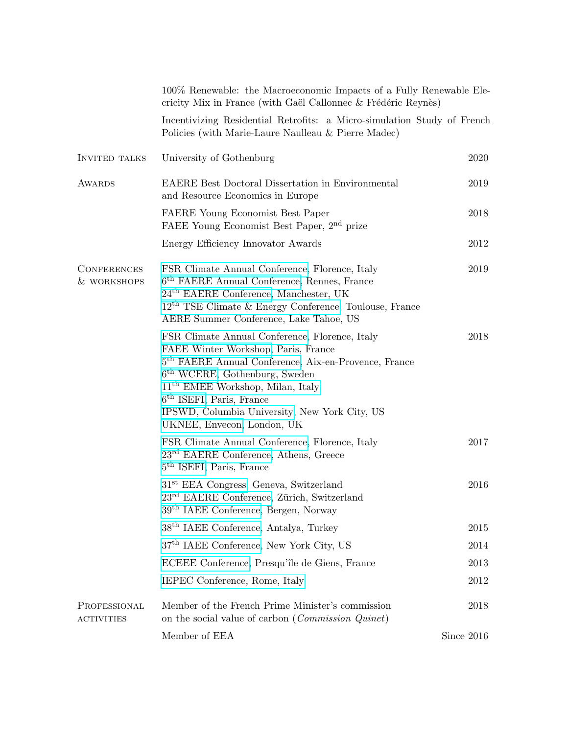|                                   | 100% Renewable: the Macroeconomic Impacts of a Fully Renewable Ele-<br>cricity Mix in France (with Gaël Callonnec & Frédéric Reynès)                                                                                                                                                                                                            |            |
|-----------------------------------|-------------------------------------------------------------------------------------------------------------------------------------------------------------------------------------------------------------------------------------------------------------------------------------------------------------------------------------------------|------------|
|                                   | Incentivizing Residential Retrofits: a Micro-simulation Study of French<br>Policies (with Marie-Laure Naulleau & Pierre Madec)                                                                                                                                                                                                                  |            |
| <b>INVITED TALKS</b>              | University of Gothenburg                                                                                                                                                                                                                                                                                                                        | 2020       |
| <b>AWARDS</b>                     | <b>EAERE</b> Best Doctoral Dissertation in Environmental<br>and Resource Economics in Europe                                                                                                                                                                                                                                                    | 2019       |
|                                   | FAERE Young Economist Best Paper<br>FAEE Young Economist Best Paper, 2 <sup>nd</sup> prize                                                                                                                                                                                                                                                      | 2018       |
|                                   | Energy Efficiency Innovator Awards                                                                                                                                                                                                                                                                                                              | 2012       |
| <b>CONFERENCES</b><br>& WORKSHOPS | FSR Climate Annual Conference, Florence, Italy<br>6 <sup>th</sup> FAERE Annual Conference, Rennes, France<br>$24th$ EAERE Conference, Manchester, UK<br>$12^{\text{th}}$ TSE Climate & Energy Conference, Toulouse, France<br>AERE Summer Conference, Lake Tahoe, US                                                                            | 2019       |
|                                   | FSR Climate Annual Conference, Florence, Italy<br>FAEE Winter Workshop, Paris, France<br>5 <sup>th</sup> FAERE Annual Conference, Aix-en-Provence, France<br>$6th$ WCERE, Gothenburg, Sweden<br>$11th$ EMEE Workshop, Milan, Italy<br>$6th$ ISEFI, Paris, France<br>IPSWD, Columbia University, New York City, US<br>UKNEE, Envecon, London, UK | 2018       |
|                                   | FSR Climate Annual Conference, Florence, Italy<br>$23rd$ EAERE Conference, Athens, Greece<br>5 <sup>th</sup> ISEFI, Paris, France                                                                                                                                                                                                               | 2017       |
|                                   | 31 <sup>st</sup> EEA Congress, Geneva, Switzerland<br>23 <sup>rd</sup> EAERE Conference, Zürich, Switzerland<br>39 <sup>th</sup> IAEE Conference, Bergen, Norway                                                                                                                                                                                | 2016       |
|                                   | 38 <sup>th</sup> IAEE Conference, Antalya, Turkey                                                                                                                                                                                                                                                                                               | 2015       |
|                                   | 37 <sup>th</sup> IAEE Conference, New York City, US                                                                                                                                                                                                                                                                                             | 2014       |
|                                   | ECEEE Conference, Presqu'île de Giens, France                                                                                                                                                                                                                                                                                                   | 2013       |
|                                   | IEPEC Conference, Rome, Italy                                                                                                                                                                                                                                                                                                                   | $2012\,$   |
| PROFESSIONAL<br><b>ACTIVITIES</b> | Member of the French Prime Minister's commission<br>on the social value of carbon ( <i>Commission Quinet</i> )                                                                                                                                                                                                                                  | 2018       |
|                                   | Member of EEA                                                                                                                                                                                                                                                                                                                                   | Since 2016 |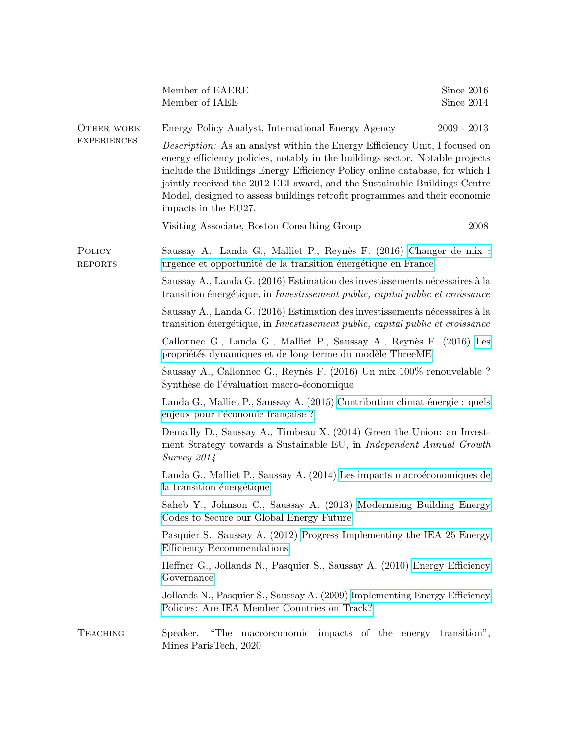|                                  | Member of EAERE<br>Member of IAEE                                                                                                                                                                                                                                                                                                                                                                                                    | Since 2016<br>Since $2014$ |  |
|----------------------------------|--------------------------------------------------------------------------------------------------------------------------------------------------------------------------------------------------------------------------------------------------------------------------------------------------------------------------------------------------------------------------------------------------------------------------------------|----------------------------|--|
| OTHER WORK<br><b>EXPERIENCES</b> | Energy Policy Analyst, International Energy Agency                                                                                                                                                                                                                                                                                                                                                                                   | $2009 - 2013$              |  |
|                                  | <i>Description:</i> As an analyst within the Energy Efficiency Unit, I focused on<br>energy efficiency policies, notably in the buildings sector. Notable projects<br>include the Buildings Energy Efficiency Policy online database, for which I<br>jointly received the 2012 EEI award, and the Sustainable Buildings Centre<br>Model, designed to assess buildings retrofit programmes and their economic<br>impacts in the EU27. |                            |  |
|                                  | Visiting Associate, Boston Consulting Group                                                                                                                                                                                                                                                                                                                                                                                          | 2008                       |  |
| POLICY<br><b>REPORTS</b>         | Saussay A., Landa G., Malliet P., Reynès F. (2016) Changer de mix :<br>urgence et opportunité de la transition énergétique en France                                                                                                                                                                                                                                                                                                 |                            |  |
|                                  | Saussay A., Landa G. (2016) Estimation des investissements nécessaires à la<br>transition énergétique, in <i>Investissement public, capital public et croissance</i>                                                                                                                                                                                                                                                                 |                            |  |
|                                  | Saussay A., Landa G. (2016) Estimation des investissements nécessaires à la<br>transition énergétique, in <i>Investissement public, capital public et croissance</i>                                                                                                                                                                                                                                                                 |                            |  |
|                                  | Callonnec G., Landa G., Malliet P., Saussay A., Reynès F. (2016) Les<br>propriétés dynamiques et de long terme du modèle ThreeME                                                                                                                                                                                                                                                                                                     |                            |  |
|                                  | Saussay A., Callonnec G., Reynès F. (2016) Un mix 100% renouvelable ?<br>Synthèse de l'évaluation macro-économique                                                                                                                                                                                                                                                                                                                   |                            |  |
|                                  | Landa G., Malliet P., Saussay A. (2015) Contribution climat-énergie : quels<br>enjeux pour l'économie française?                                                                                                                                                                                                                                                                                                                     |                            |  |
|                                  | Demailly D., Saussay A., Timbeau X. (2014) Green the Union: an Invest-<br>ment Strategy towards a Sustainable EU, in Independent Annual Growth<br>Survey 2014                                                                                                                                                                                                                                                                        |                            |  |
|                                  | Landa G., Malliet P., Saussay A. (2014) Les impacts macroéconomiques de<br>la transition énergétique                                                                                                                                                                                                                                                                                                                                 |                            |  |
|                                  | Saheb Y., Johnson C., Saussay A. (2013) Modernising Building Energy<br>Codes to Secure our Global Energy Future                                                                                                                                                                                                                                                                                                                      |                            |  |
|                                  | Pasquier S., Saussay A. (2012) Progress Implementing the IEA 25 Energy<br>Efficiency Recommendations                                                                                                                                                                                                                                                                                                                                 |                            |  |
|                                  | Heffner G., Jollands N., Pasquier S., Saussay A. (2010) Energy Efficiency<br>Governance                                                                                                                                                                                                                                                                                                                                              |                            |  |
|                                  | Jollands N., Pasquier S., Saussay A. (2009) Implementing Energy Efficiency<br>Policies: Are IEA Member Countries on Track?                                                                                                                                                                                                                                                                                                           |                            |  |
| <b>TEACHING</b>                  | Speaker, "The macroeconomic impacts of the energy transition",<br>Mines ParisTech, 2020                                                                                                                                                                                                                                                                                                                                              |                            |  |